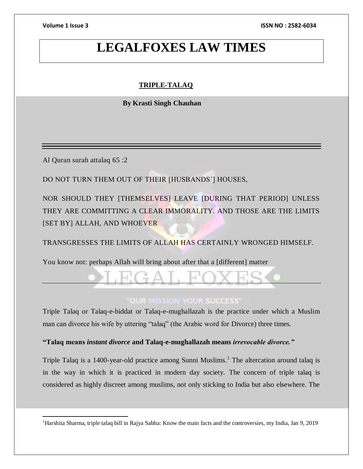**Volume 1 Issue 3 ISSN NO : 2582-6034**

## **LEGALFOXES LAW TIMES**

## **TRIPLE-TALAQ**

 **By Krasti Singh Chauhan**

Al Quran surah attalaq 65 :2

 $\overline{a}$ 

DO NOT TURN THEM OUT OF THEIR [HUSBANDS'] HOUSES,

NOR SHOULD THEY [THEMSELVES] LEAVE [DURING THAT PERIOD] UNLESS THEY ARE COMMITTING A CLEAR IMMORALITY. AND THOSE ARE THE LIMITS [SET BY] ALLAH, AND WHOEVER

TRANSGRESSES THE LIMITS OF ALLAH HAS CERTAINLY WRONGED HIMSELF.

You know not: perhaps Allah will bring about after that a [different] matter

## **OUR MISSION YOUR SUCCESS**

Triple Talaq or Talaq-e-biddat or Talaq-e-mughallazah is the practice under which a Muslim man can divorce his wife by uttering "talaq" (the Arabic word for Divorce) three times.

### **"Talaq means** *instant divorce* **and Talaq-e-mughallazah means** *irrevocable divorce."*

Triple Talaq is a 1400-year-old practice among Sunni Muslims.<sup>1</sup> The altercation around talaq is in the way in which it is practiced in modern day society. The concern of triple talaq is considered as highly discreet among muslims, not only sticking to India but also elsewhere. The

<sup>1</sup>Harshita Sharma, triple talaq bill in Rajya Sabha: Know the main facts and the controversies, my India, Jan 9, 2019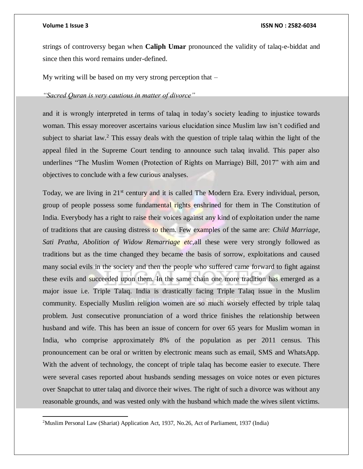$\overline{a}$ 

### **Volume 1 Issue 3 ISSN NO : 2582-6034**

strings of controversy began when **Caliph Umar** pronounced the validity of talaq-e-biddat and since then this word remains under-defined.

My writing will be based on my very strong perception that –

## *"Sacred Quran is very cautious in matter of divorce"*

and it is wrongly interpreted in terms of talaq in today's society leading to injustice towards woman. This essay moreover ascertains various elucidation since Muslim law isn't codified and subject to shariat law.<sup>2</sup> This essay deals with the question of triple talaq within the light of the appeal filed in the Supreme Court tending to announce such talaq invalid. This paper also underlines "The Muslim Women (Protection of Rights on Marriage) Bill, 2017" with aim and objectives to conclude with a few curious analyses.

Today, we are living in 21<sup>st</sup> century and it is called The Modern Era. Every individual, person, group of people possess some fundamental rights enshrined for them in The Constitution of India. Everybody has a right to raise their voices against any kind of exploitation under the name of traditions that are causing distress to them. Few examples of the same are: *Child Marriage, Sati Pratha, Abolition of Widow Remarriage etc,*all these were very strongly followed as traditions but as the time changed they became the basis of sorrow, exploitations and caused many social evils in the society and then the people who suffered came forward to fight against these evils and succeeded upon them. In the same chain one more tradition has emerged as a major issue i.e. Triple Talaq. India is drastically facing Triple Talaq issue in the Muslim community. Especially Muslim religion women are so much worsely effected by triple talaq problem. Just consecutive pronunciation of a word thrice finishes the relationship between husband and wife. This has been an issue of concern for over 65 years for Muslim woman in India, who comprise approximately 8% of the population as per 2011 census. This pronouncement can be oral or written by electronic means such as email, SMS and WhatsApp. With the advent of technology, the concept of triple talaq has become easier to execute. There were several cases reported about husbands sending messages on voice notes or even pictures over Snapchat to utter talaq and divorce their wives. The right of such a divorce was without any reasonable grounds, and was vested only with the husband which made the wives silent victims.

<sup>2</sup>Muslim Personal Law (Shariat) Application Act, 1937, No.26, Act of Parliament, 1937 (India)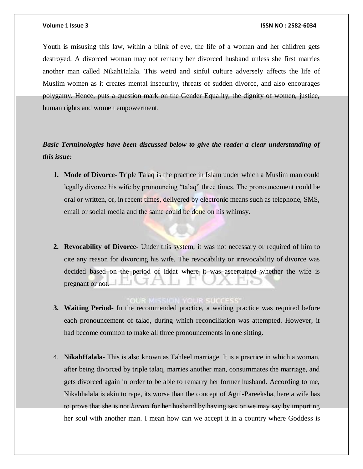Youth is misusing this law, within a blink of eye, the life of a woman and her children gets destroyed. A divorced woman may not remarry her divorced husband unless she first marries another man called NikahHalala. This weird and sinful culture adversely affects the life of Muslim women as it creates mental insecurity, threats of sudden divorce, and also encourages polygamy. Hence, puts a question mark on the Gender Equality, the dignity of women, justice, human rights and women empowerment.

*Basic Terminologies have been discussed below to give the reader a clear understanding of this issue:*

- **1. Mode of Divorce-** Triple Talaq is the practice in Islam under which a Muslim man could legally divorce his wife by pronouncing "talaq" three times. The pronouncement could be oral or written, or, in recent times, delivered by electronic means such as telephone, SMS, email or social media and the same could be done on his whimsy.
- **2. Revocability of Divorce-** Under this system, it was not necessary or required of him to cite any reason for divorcing his wife. The revocability or irrevocability of divorce was decided based on the period of iddat where it was ascertained whether the wife is pregnant or not.

- **3. Waiting Period-** In the recommended practice, a waiting practice was required before each pronouncement of talaq, during which reconciliation was attempted. However, it had become common to make all three pronouncements in one sitting.
- 4. **NikahHalala-** This is also known as Tahleel marriage. It is a practice in which a woman, after being divorced by triple talaq, marries another man, consummates the marriage, and gets divorced again in order to be able to remarry her former husband. According to me, Nikahhalala is akin to rape, its worse than the concept of Agni-Pareeksha, here a wife has to prove that she is not *haram* for her husband by having sex or we may say by importing her soul with another man. I mean how can we accept it in a country where Goddess is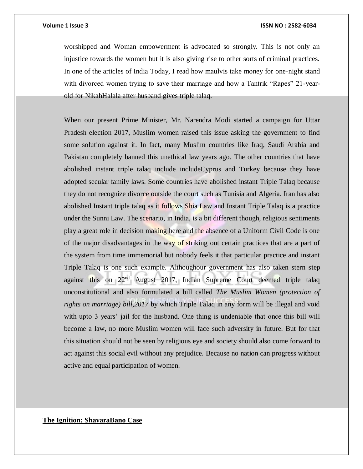worshipped and Woman empowerment is advocated so strongly. This is not only an injustice towards the women but it is also giving rise to other sorts of criminal practices. In one of the articles of India Today, I read how maulvis take money for one-night stand with divorced women trying to save their marriage and how a Tantrik "Rapes" 21-yearold for NikahHalala after husband gives triple talaq.

When our present Prime Minister, Mr. Narendra Modi started a campaign for Uttar Pradesh election 2017, Muslim women raised this issue asking the government to find some solution against it. In fact, many Muslim countries like Iraq, Saudi Arabia and Pakistan completely banned this unethical law years ago. The other countries that have abolished instant triple talaq include includeCyprus and Turkey because they have adopted secular family laws. Some countries have abolished instant Triple Talaq because they do not recognize divorce outside the court such as Tunisia and Algeria. Iran has also abolished Instant triple talaq as it follows Shia Law and Instant Triple Talaq is a practice under the Sunni Law. The scenario, in India, is a bit different though, religious sentiments play a great role in decision making here and the absence of a Uniform Civil Code is one of the major disadvantages in the way of striking out certain practices that are a part of the system from time immemorial but nobody feels it that particular practice and instant Triple Talaq is one such example. Althoughour government has also taken stern step against this on 22<sup>nd</sup> August 2017, Indian Supreme Court deemed triple talaq unconstitutional and also formulated a bill called *The Muslim Women (protection of rights on marriage) bill,2017* by which Triple Talaq in any form will be illegal and void with upto 3 years' jail for the husband. One thing is undeniable that once this bill will become a law, no more Muslim women will face such adversity in future. But for that this situation should not be seen by religious eye and society should also come forward to act against this social evil without any prejudice. Because no nation can progress without active and equal participation of women.

**The Ignition: ShayaraBano Case**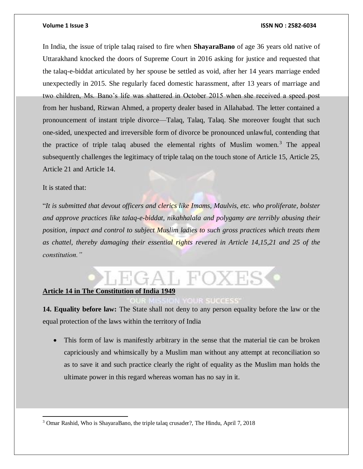### **Volume 1 Issue 3 ISSN NO : 2582-6034**

In India, the issue of triple talaq raised to fire when **ShayaraBano** of age 36 years old native of Uttarakhand knocked the doors of Supreme Court in 2016 asking for justice and requested that the talaq-e-biddat articulated by her spouse be settled as void, after her 14 years marriage ended unexpectedly in 2015. She regularly faced domestic harassment, after 13 years of marriage and two children, Ms. Bano's life was shattered in October 2015 when she received a speed post from her husband, Rizwan Ahmed, a property dealer based in Allahabad. The letter contained a pronouncement of instant triple divorce—Talaq, Talaq, Talaq. She moreover fought that such one-sided, unexpected and irreversible form of divorce be pronounced unlawful, contending that the practice of triple talaq abused the elemental rights of Muslim women. $3$  The appeal subsequently challenges the legitimacy of triple talaq on the touch stone of Article 15, Article 25, Article 21 and Article 14.

### It is stated that:

 $\overline{a}$ 

"*It is submitted that devout officers and clerics like Imams, Maulvis, etc. who proliferate, bolster and approve practices like talaq-e-biddat, nikahhalala and polygamy are terribly abusing their position, impact and control to subject Muslim ladies to such gross practices which treats them as chattel, thereby damaging their essential rights revered in Article 14,15,21 and 25 of the constitution."*

## $A$   $\vdash$   $H'$

### **Article 14 in The Constitution of India 1949**

### **OUR SUCCESS**

**14. Equality before law:** The State shall not deny to any person equality before the law or the equal protection of the laws within the territory of India

 This form of law is manifestly arbitrary in the sense that the material tie can be broken capriciously and whimsically by a Muslim man without any attempt at reconciliation so as to save it and such practice clearly the right of equality as the Muslim man holds the ultimate power in this regard whereas woman has no say in it.

<sup>3</sup> Omar Rashid, Who is ShayaraBano, the triple talaq crusader?, The Hindu, April 7, 2018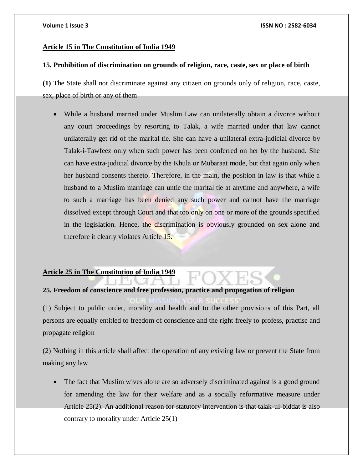### **Article 15 in The Constitution of India 1949**

### **15. Prohibition of discrimination on grounds of religion, race, caste, sex or place of birth**

**(1)** The State shall not discriminate against any citizen on grounds only of religion, race, caste, sex, place of birth or any of them

 While a husband married under Muslim Law can unilaterally obtain a divorce without any court proceedings by resorting to Talak, a wife married under that law cannot unilaterally get rid of the marital tie. She can have a unilateral extra-judicial divorce by Talak-i-Tawfeez only when such power has been conferred on her by the husband. She can have extra-judicial divorce by the Khula or Mubaraat mode, but that again only when her husband consents thereto. Therefore, in the main, the position in law is that while a husband to a Muslim marriage can untie the marital tie at anytime and anywhere, a wife to such a marriage has been denied any such power and cannot have the marriage dissolved except through Court and that too only on one or more of the grounds specified in the legislation. Hence, the discrimination is obviously grounded on sex alone and therefore it clearly violates Article 15.

## **Article 25 in The Constitution of India 1949**

# **25. Freedom of conscience and free profession, practice and propogation of religion**

(1) Subject to public order, morality and health and to the other provisions of this Part, all persons are equally entitled to freedom of conscience and the right freely to profess, practise and propagate religion

(2) Nothing in this article shall affect the operation of any existing law or prevent the State from making any law

 The fact that Muslim wives alone are so adversely discriminated against is a good ground for amending the law for their welfare and as a socially reformative measure under Article 25(2). An additional reason for statutory intervention is that talak-ul-biddat is also contrary to morality under Article 25(1)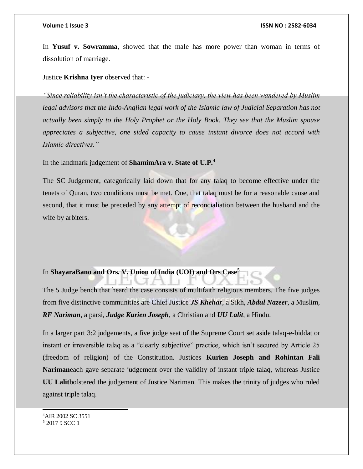### **Volume 1 Issue 3 ISSN NO : 2582-6034**

In **Yusuf v. Sowramma**, showed that the male has more power than woman in terms of dissolution of marriage.

Justice **Krishna Iyer** observed that: -

*"Since reliability isn't the characteristic of the judiciary, the view has been wandered by Muslim legal advisors that the Indo-Anglian legal work of the Islamic law of Judicial Separation has not actually been simply to the Holy Prophet or the Holy Book. They see that the Muslim spouse appreciates a subjective, one sided capacity to cause instant divorce does not accord with Islamic directives."*

In the landmark judgement of **ShamimAra v. State of U.P.<sup>4</sup>**

The SC Judgement, categorically laid down that for any talaq to become effective under the tenets of Quran, two conditions must be met. One, that talaq must be for a reasonable cause and second, that it must be preceded by any attempt of reconcialiation between the husband and the wife by arbiters.

## In **ShayaraBano and Ors. V. Union of India (UOI) and Ors Case<sup>5</sup>**

The 5 Judge bench that heard the case consists of multifaith religious members. The five judges from five distinctive communities are Chief Justice *JS Khehar*, a Sikh, *Abdul Nazeer*, a Muslim, *RF Nariman*, a parsi, *Judge Kurien Joseph*, a Christian and *UU Lalit*, a Hindu.

In a larger part 3:2 judgements, a five judge seat of the Supreme Court set aside talaq-e-biddat or instant or irreversible talaq as a "clearly subjective" practice, which isn't secured by Article 25 (freedom of religion) of the Constitution. Justices **Kurien Joseph and Rohintan Fali Nariman**each gave separate judgement over the validity of instant triple talaq, whereas Justice **UU Lalit**bolstered the judgement of Justice Nariman. This makes the trinity of judges who ruled against triple talaq.

<sup>4</sup>AIR 2002 SC 3551 <sup>5</sup> 2017 9 SCC 1

l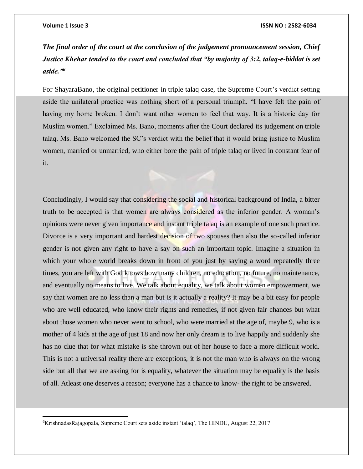$\overline{a}$ 

*The final order of the court at the conclusion of the judgement pronouncement session, Chief Justice Khehar tended to the court and concluded that "by majority of 3:2, talaq-e-biddat is set aside."<sup>6</sup>*

For ShayaraBano, the original petitioner in triple talaq case, the Supreme Court's verdict setting aside the unilateral practice was nothing short of a personal triumph. "I have felt the pain of having my home broken. I don't want other women to feel that way. It is a historic day for Muslim women." Exclaimed Ms. Bano, moments after the Court declared its judgement on triple talaq. Ms. Bano welcomed the SC's verdict with the belief that it would bring justice to Muslim women, married or unmarried, who either bore the pain of triple talaq or lived in constant fear of it.

Concludingly, I would say that considering the social and historical background of India, a bitter truth to be accepted is that women are always considered as the inferior gender. A woman's opinions were never given importance and instant triple talaq is an example of one such practice. Divorce is a very important and hardest decision of two spouses then also the so-called inferior gender is not given any right to have a say on such an important topic. Imagine a situation in which your whole world breaks down in front of you just by saying a word repeatedly three times, you are left with God knows how many children, no education, no future, no maintenance, and eventually no means to live. We talk about equality, we talk about women empowerment, we say that women are no less than a man but is it actually a reality? It may be a bit easy for people who are well educated, who know their rights and remedies, if not given fair chances but what about those women who never went to school, who were married at the age of, maybe 9, who is a mother of 4 kids at the age of just 18 and now her only dream is to live happily and suddenly she has no clue that for what mistake is she thrown out of her house to face a more difficult world. This is not a universal reality there are exceptions, it is not the man who is always on the wrong side but all that we are asking for is equality, whatever the situation may be equality is the basis of all. Atleast one deserves a reason; everyone has a chance to know- the right to be answered.

<sup>6</sup>KrishnadasRajagopala, Supreme Court sets aside instant 'talaq', The HINDU, August 22, 2017